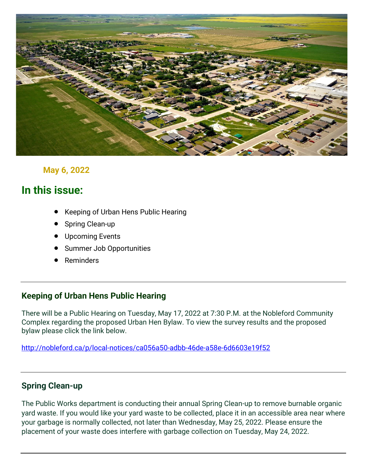

## **May 6, 2022**

# **In this issue:**

- Keeping of Urban Hens Public Hearing
- **Spring Clean-up**
- Upcoming Events
- Summer Job Opportunities
- **Reminders**

## **Keeping of Urban Hens Public Hearing**

There will be a Public Hearing on Tuesday, May 17, 2022 at 7:30 P.M. at the Nobleford Community Complex regarding the proposed Urban Hen Bylaw. To view the survey results and the proposed bylaw please click the link below.

<http://nobleford.ca/p/local-notices/ca056a50-adbb-46de-a58e-6d6603e19f52>

## **Spring Clean-up**

The Public Works department is conducting their annual Spring Clean-up to remove burnable organic yard waste. If you would like your yard waste to be collected, place it in an accessible area near where your garbage is normally collected, not later than Wednesday, May 25, 2022. Please ensure the placement of your waste does interfere with garbage collection on Tuesday, May 24, 2022.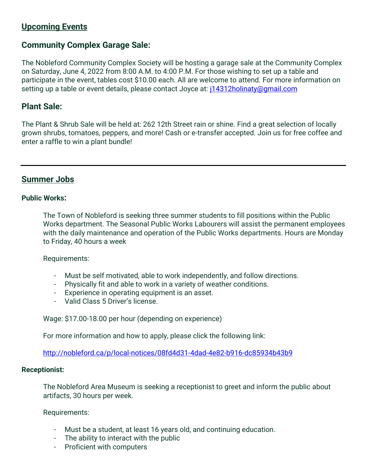## **Upcoming Events**

## **Community Complex Garage Sale:**

The Nobleford Community Complex Society will be hosting a garage sale at the Community Complex on Saturday, June 4, 2022 from 8:00 A.M. to 4:00 P.M. For those wishing to set up a table and participate in the event, tables cost \$10.00 each. All are welcome to attend. For more information on setting up a table or event details, please contact Joyce at: *i14312holinaty*@gmail.com

## **Plant Sale:**

The Plant & Shrub Sale will be held at: 262 12th Street rain or shine. Find a great selection of locally grown shrubs, tomatoes, peppers, and more! Cash or e-transfer accepted. Join us for free coffee and enter a raffle to win a plant bundle!

## **Summer Jobs**

#### **Public Works:**

The Town of Nobleford is seeking three summer students to fill positions within the Public Works department. The Seasonal Public Works Labourers will assist the permanent employees with the daily maintenance and operation of the Public Works departments. Hours are Monday to Friday, 40 hours a week

Requirements:

- Must be self motivated, able to work independently, and follow directions.
- Physically fit and able to work in a variety of weather conditions.
- Experience in operating equipment is an asset.
- Valid Class 5 Driver's license.

Wage: \$17.00-18.00 per hour (depending on experience)

For more information and how to apply, please click the following link:

<http://nobleford.ca/p/local-notices/08fd4d31-4dad-4e82-b916-dc85934b43b9>

#### **Receptionist:**

The Nobleford Area Museum is seeking a receptionist to greet and inform the public about artifacts, 30 hours per week.

Requirements:

- Must be a student, at least 16 years old, and continuing education.
- The ability to interact with the public
- Proficient with computers